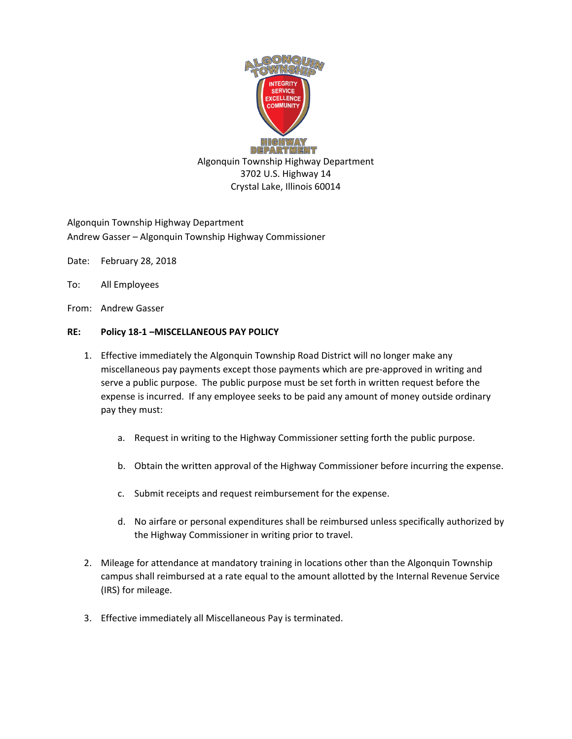

Algonquin Township Highway Department Andrew Gasser – Algonquin Township Highway Commissioner

- Date: February 28, 2018
- To: All Employees
- From: Andrew Gasser

## **RE: Policy 18-1 –MISCELLANEOUS PAY POLICY**

- 1. Effective immediately the Algonquin Township Road District will no longer make any miscellaneous pay payments except those payments which are pre-approved in writing and serve a public purpose. The public purpose must be set forth in written request before the expense is incurred. If any employee seeks to be paid any amount of money outside ordinary pay they must:
	- a. Request in writing to the Highway Commissioner setting forth the public purpose.
	- b. Obtain the written approval of the Highway Commissioner before incurring the expense.
	- c. Submit receipts and request reimbursement for the expense.
	- d. No airfare or personal expenditures shall be reimbursed unless specifically authorized by the Highway Commissioner in writing prior to travel.
- 2. Mileage for attendance at mandatory training in locations other than the Algonquin Township campus shall reimbursed at a rate equal to the amount allotted by the Internal Revenue Service (IRS) for mileage.
- 3. Effective immediately all Miscellaneous Pay is terminated.